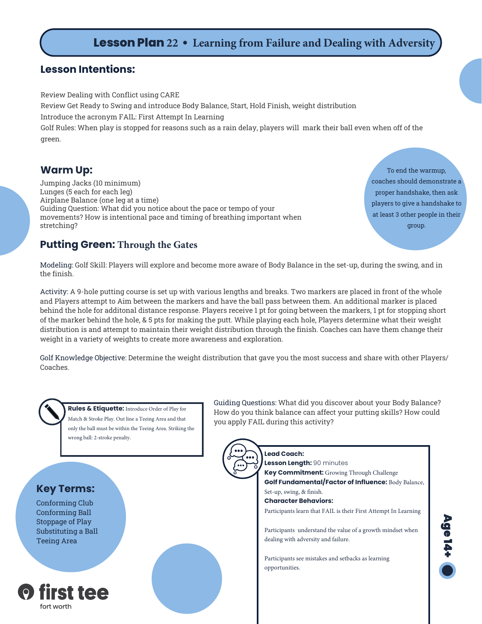# **Lesson Plan 22 • Learning from Failure and Dealing with Adversity**

#### **Lesson Intentions:**

Review Dealing with Conflict using CARE

Review Get Ready to Swing and introduce Body Balance, Start, Hold Finish, weight distribution

Introduce the acronym FAIL: First Attempt In Learning

Golf Rules: When play is stopped for reasons such as a rain delay, players will mark their ball even when off of the green.

### **Warm Up:**

Jumping Jacks (10 minimum) Lunges (5 each for each leg) Airplane Balance (one leg at a time) Guiding Question: What did you notice about the pace or tempo of your movements? How is intentional pace and timing of breathing important when stretching?

To end the warmup, coaches should demonstrate a proper handshake, then ask players to give a handshake to at least 3 other people in their group.

### **Putting Green: Through the Gates**

Modeling: Golf Skill: Players will explore and become more aware of Body Balance in the set-up, during the swing, and in the finish.

Activity: A 9-hole putting course is set up with various lengths and breaks. Two markers are placed in front of the whole and Players attempt to Aim between the markers and have the ball pass between them. An additional marker is placed behind the hole for additonal distance response. Players receive 1 pt for going between the markers, 1 pt for stopping short of the marker behind the hole, & 5 pts for making the putt. While playing each hole, Players determine what their weight distribution is and attempt to maintain their weight distribution through the finish. Coaches can have them change their weight in a variety of weights to create more awareness and exploration.

Golf Knowledge Objective: Determine the weight distribution that gave you the most success and share with other Players/ Coaches.



**Rules & Etiquette:** Introduce Order of Play for Match & Stroke Play. Out line a Teeing Area and that only the ball must be within the Teeing Area. Striking the wrong ball: 2-stroke penalty.

## **Key Terms:**

Conforming Club Conforming Ball Stoppage of Play Substituting a Ball Teeing Area



Guiding Questions: What did you discover about your Body Balance? How do you think balance can affect your putting skills? How could you apply FAIL during this activity?



**Lead Coach: Lesson Length:** 90 minutes **Key Commitment:** Growing Through Challenge **Golf Fundamental/Factor of Influence:** Body Balance, Set-up, swing, & finish. **Character Behaviors:** Participants learn that FAIL is their First Attempt In Learning Participants understand the value of a growth mindset when dealing with adversity and failure. Participants see mistakes and setbacks as learning opportunities.